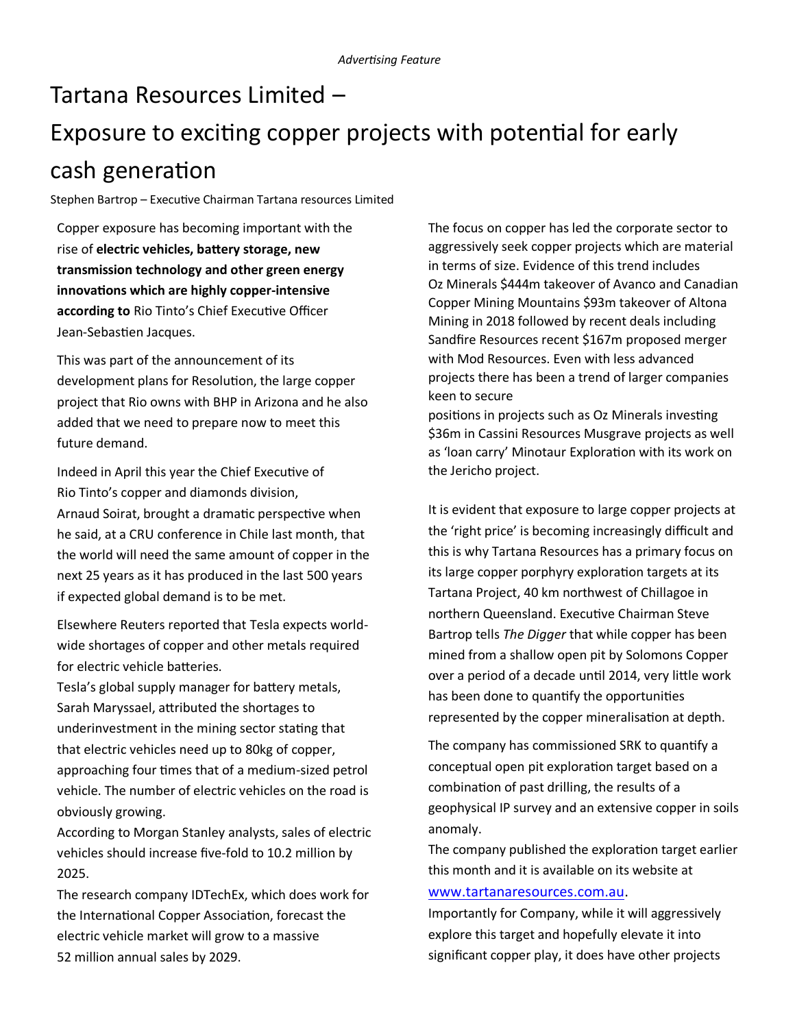## Tartana Resources Limited – Exposure to exciting copper projects with potential for early cash generation

Stephen Bartrop – Executive Chairman Tartana resources Limited

Copper exposure has becoming important with the rise of **electric vehicles, battery storage, new transmission technology and other green energy innovations which are highly copper-intensive according to** Rio Tinto's Chief Executive Officer Jean-Sebastien Jacques.

This was part of the announcement of its development plans for Resolution, the large copper project that Rio owns with BHP in Arizona and he also added that we need to prepare now to meet this future demand.

Indeed in April this year the Chief Executive of Rio Tinto's copper and diamonds division, Arnaud Soirat, brought a dramatic perspective when he said, at a CRU conference in Chile last month, that the world will need the same amount of copper in the next 25 years as it has produced in the last 500 years if expected global demand is to be met.

Elsewhere Reuters reported that Tesla expects worldwide shortages of copper and other metals required for electric vehicle batteries.

Tesla's global supply manager for battery metals, Sarah Maryssael, attributed the shortages to underinvestment in the mining sector stating that that electric vehicles need up to 80kg of copper, approaching four times that of a medium-sized petrol vehicle. The number of electric vehicles on the road is obviously growing.

According to Morgan Stanley analysts, sales of electric vehicles should increase five-fold to 10.2 million by 2025.

The research company IDTechEx, which does work for the International Copper Association, forecast the electric vehicle market will grow to a massive 52 million annual sales by 2029.

The focus on copper has led the corporate sector to aggressively seek copper projects which are material in terms of size. Evidence of this trend includes Oz Minerals \$444m takeover of Avanco and Canadian Copper Mining Mountains \$93m takeover of Altona Mining in 2018 followed by recent deals including Sandfire Resources recent \$167m proposed merger with Mod Resources. Even with less advanced projects there has been a trend of larger companies keen to secure

positions in projects such as Oz Minerals investing \$36m in Cassini Resources Musgrave projects as well as 'loan carry' Minotaur Exploration with its work on the Jericho project.

It is evident that exposure to large copper projects at the 'right price' is becoming increasingly difficult and this is why Tartana Resources has a primary focus on its large copper porphyry exploration targets at its Tartana Project, 40 km northwest of Chillagoe in northern Queensland. Executive Chairman Steve Bartrop tells *The Digger* that while copper has been mined from a shallow open pit by Solomons Copper over a period of a decade until 2014, very little work has been done to quantify the opportunities represented by the copper mineralisation at depth.

The company has commissioned SRK to quantify a conceptual open pit exploration target based on a combination of past drilling, the results of a geophysical IP survey and an extensive copper in soils anomaly.

The company published the exploration target earlier this month and it is available on its website at [www.tartanaresources.com.au.](http://www.tartanaresources.com.au)

Importantly for Company, while it will aggressively explore this target and hopefully elevate it into significant copper play, it does have other projects